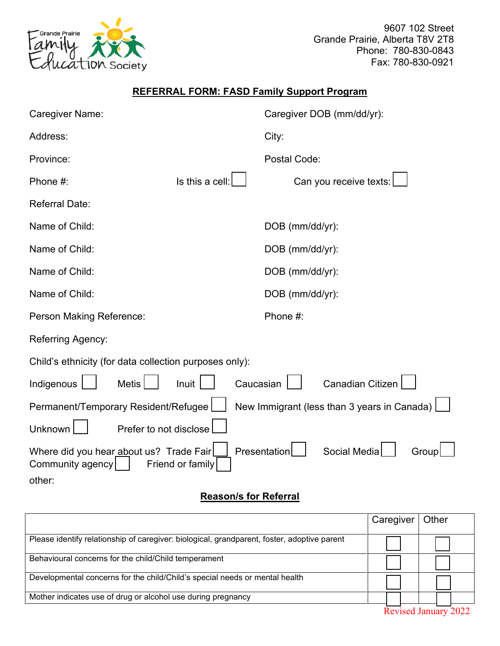

9607 102 Street Grande Prairie, Alberta T8V 2T8 Phone: 780-830-0843 Fax: 780-830-0921

## **REFERRAL FORM: FASD Family Support Program**

| Caregiver Name:                                             |                  | Caregiver DOB (mm/dd/yr): |                                             |  |  |  |
|-------------------------------------------------------------|------------------|---------------------------|---------------------------------------------|--|--|--|
| Address:                                                    |                  | City:                     |                                             |  |  |  |
| Province:                                                   |                  | Postal Code:              |                                             |  |  |  |
| Phone #:                                                    | Is this a cell:  |                           | Can you receive texts:                      |  |  |  |
| <b>Referral Date:</b>                                       |                  |                           |                                             |  |  |  |
| Name of Child:                                              |                  | DOB (mm/dd/yr):           |                                             |  |  |  |
| Name of Child:                                              |                  | DOB (mm/dd/yr):           |                                             |  |  |  |
| Name of Child:                                              |                  | DOB (mm/dd/yr):           |                                             |  |  |  |
| Name of Child:                                              |                  | DOB (mm/dd/yr):           |                                             |  |  |  |
| Person Making Reference:                                    |                  | Phone #:                  |                                             |  |  |  |
| <b>Referring Agency:</b>                                    |                  |                           |                                             |  |  |  |
| Child's ethnicity (for data collection purposes only):      |                  |                           |                                             |  |  |  |
| Indigenous<br><b>Metis</b>                                  | Inuit            | Caucasian                 | <b>Canadian Citizen</b>                     |  |  |  |
| Permanent/Temporary Resident/Refugee                        |                  |                           | New Immigrant (less than 3 years in Canada) |  |  |  |
| Unknown<br>Prefer to not disclose                           |                  |                           |                                             |  |  |  |
| Where did you hear about us? Trade Fair<br>Community agency | Friend or family | Presentation              | Social Media<br>Group                       |  |  |  |
| other:                                                      |                  |                           |                                             |  |  |  |

## **Reason/s for Referral**

|                                                                                             | Caregiver | Other                       |
|---------------------------------------------------------------------------------------------|-----------|-----------------------------|
| Please identify relationship of caregiver: biological, grandparent, foster, adoptive parent |           |                             |
| Behavioural concerns for the child/Child temperament                                        |           |                             |
| Developmental concerns for the child/Child's special needs or mental health                 |           |                             |
| Mother indicates use of drug or alcohol use during pregnancy                                |           |                             |
|                                                                                             |           | <b>Revised January 2022</b> |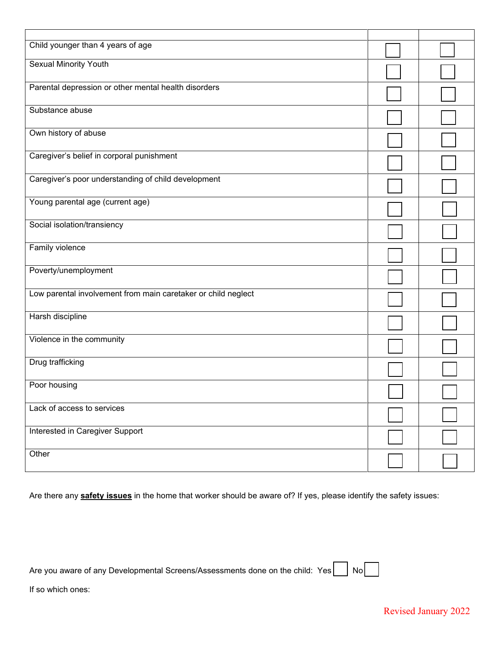| Child younger than 4 years of age                             |  |
|---------------------------------------------------------------|--|
| <b>Sexual Minority Youth</b>                                  |  |
| Parental depression or other mental health disorders          |  |
| Substance abuse                                               |  |
| Own history of abuse                                          |  |
| Caregiver's belief in corporal punishment                     |  |
| Caregiver's poor understanding of child development           |  |
| Young parental age (current age)                              |  |
| Social isolation/transiency                                   |  |
| Family violence                                               |  |
| Poverty/unemployment                                          |  |
| Low parental involvement from main caretaker or child neglect |  |
| Harsh discipline                                              |  |
| Violence in the community                                     |  |
| Drug trafficking                                              |  |
| Poor housing                                                  |  |
| Lack of access to services                                    |  |
| Interested in Caregiver Support                               |  |
| Other                                                         |  |

Are there any **safety issues** in the home that worker should be aware of? If yes, please identify the safety issues:

|  |  |  | Are you aware of any Developmental Screens/Assessments done on the child: Yes $\vert$ No |  |  |  |
|--|--|--|------------------------------------------------------------------------------------------|--|--|--|
|--|--|--|------------------------------------------------------------------------------------------|--|--|--|

 $\overline{\phantom{a}}$ 

If so which ones: